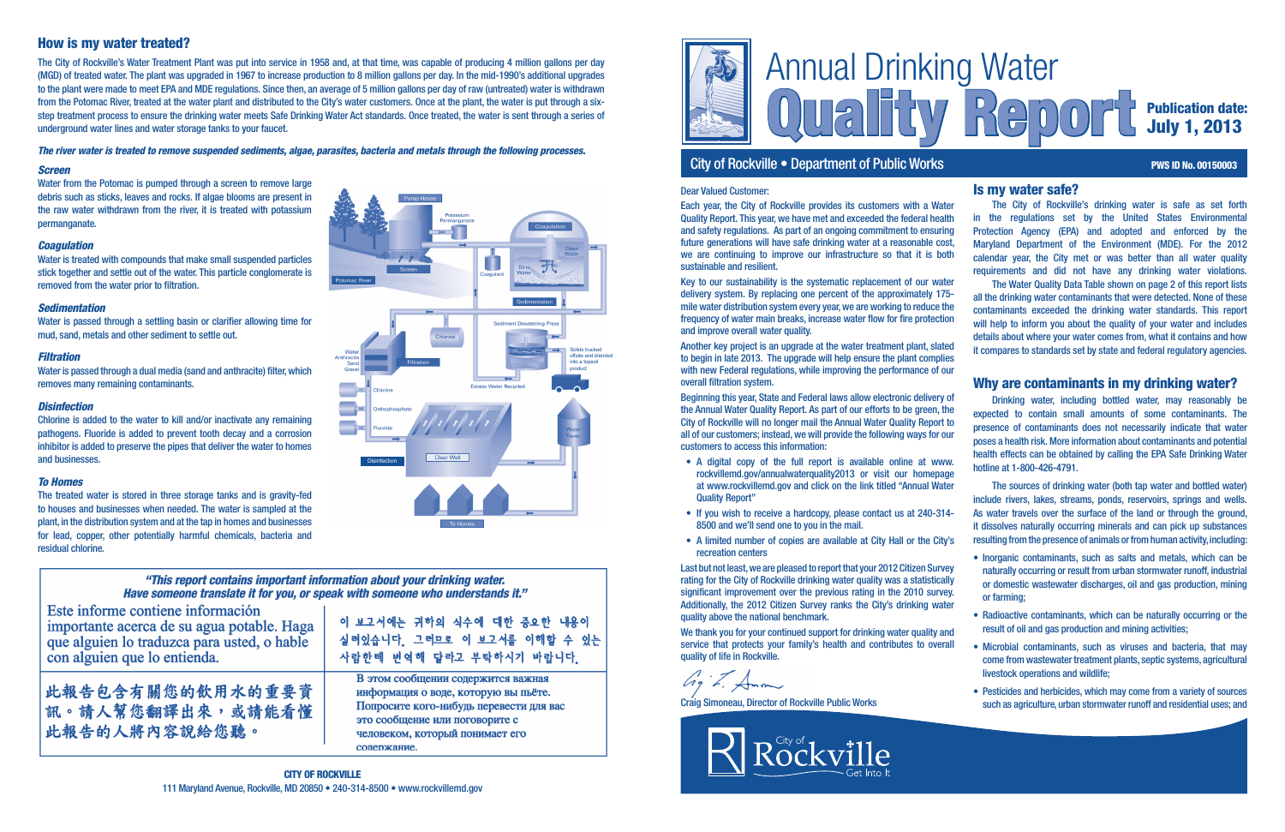

# City of Rockville • Department of Public Works **PWS ID No. 00150003** PWS ID No. 00150003

# Quality Report Publication date: July 1, 2013

## Is my water safe?

The City of Rockville's drinking water is safe as set forth in the regulations set by the United States Environmental Protection Agency (EPA) and adopted and enforced by the Maryland Department of the Environment (MDE). For the 2012 calendar year, the City met or was better than all water quality requirements and did not have any drinking water violations.

The Water Quality Data Table shown on page 2 of this report lists all the drinking water contaminants that were detected. None of these contaminants exceeded the drinking water standards. This report will help to inform you about the quality of your water and includes details about where your water comes from, what it contains and how it compares to standards set by state and federal regulatory agencies.

## Why are contaminants in my drinking water?

Drinking water, including bottled water, may reasonably be expected to contain small amounts of some contaminants. The presence of contaminants does not necessarily indicate that water poses a health risk. More information about contaminants and potential health effects can be obtained by calling the EPA Safe Drinking Water hotline at 1-800-426-4791.

Water is passed through a settling basin or clarifier allowing time for mud, sand, metals and other sediment to settle out.

> The sources of drinking water (both tap water and bottled water) include rivers, lakes, streams, ponds, reservoirs, springs and wells. As water travels over the surface of the land or through the ground. it dissolves naturally occurring minerals and can pick up substances resulting from the presence of animals or from human activity, including:

- Inorganic contaminants, such as salts and metals, which can be naturally occurring or result from urban stormwater runoff, industrial or domestic wastewater discharges, oil and gas production, mining or farming;
- Radioactive contaminants, which can be naturally occurring or the result of oil and gas production and mining activities;
- Microbial contaminants, such as viruses and bacteria, that may come from wastewater treatment plants, septic systems, agricultural livestock operations and wildlife;
- Pesticides and herbicides, which may come from a variety of sources such as agriculture, urban stormwater runoff and residential uses; and

## *Screen*

Water from the Potomac is pumped through a screen to remove large debris such as sticks, leaves and rocks. If algae blooms are present in the raw water withdrawn from the river, it is treated with potassium permanganate.

## *Coagulation*

Water is treated with compounds that make small suspended particles stick together and settle out of the water. This particle conglomerate is removed from the water prior to filtration.

## *Sedimentation*

## *Filtration*

Water is passed through a dual media (sand and anthracite) filter, which removes many remaining contaminants.

## *Disinfection*

Chlorine is added to the water to kill and/or inactivate any remaining pathogens. Fluoride is added to prevent tooth decay and a corrosion inhibitor is added to preserve the pipes that deliver the water to homes and businesses.

## *To Homes*

We thank you for your continued support for drinking water quality and service that protects your family's health and contributes to overall quality of life in Rockville.

 $G_9$  .  $\neq$ 

The treated water is stored in three storage tanks and is gravity-fed to houses and businesses when needed. The water is sampled at the plant, in the distribution system and at the tap in homes and businesses for lead, copper, other potentially harmful chemicals, bacteria and residual chlorine.

# How is my water treated?

The City of Rockville's Water Treatment Plant was put into service in 1958 and, at that time, was capable of producing 4 million gallons per day (MGD) of treated water. The plant was upgraded in 1967 to increase production to 8 million gallons per day. In the mid-1990's additional upgrades to the plant were made to meet EPA and MDE regulations. Since then, an average of 5 million gallons per day of raw (untreated) water is withdrawn from the Potomac River, treated at the water plant and distributed to the City's water customers. Once at the plant, the water is put through a sixstep treatment process to ensure the drinking water meets Safe Drinking Water Act standards. Once treated, the water is sent through a series of underground water lines and water storage tanks to your faucet.

### *The river water is treated to remove suspended sediments, algae, parasites, bacteria and metals through the following processes.*



## "This report contains important information about your drinking water. "Have someone translate it for you, or speak with someone who understands it.

| Este informe contiene información           |  |  |  |  |
|---------------------------------------------|--|--|--|--|
| importante acerca de su agua potable. Haga  |  |  |  |  |
| que alguien lo traduzca para usted, o hable |  |  |  |  |
| con alguien que lo entienda.                |  |  |  |  |

此報告包含有關您的飲用水的重要資 訊。請人幫您翻譯出來,或請能看懂 此報告的人將內容說給您聽。

이 보고서에는 귀하의 식수에 대한 주요한 내용이 실려있습니다. 그러므로 이 보고서를 이해할 수 있는 사람한테 번역해 달라고 부탁하시기 바랍니다.

В этом сообщении содержится важная информация о воде, которую вы пьёте. Попросите кого-нибудь перевести для вас это сообщение или поговорите с человеком, который понимает его сопержание.

## Dear Valued Customer:

Each year, the City of Rockville provides its customers with a Water Quality Report. This year, we have met and exceeded the federal health and safety regulations. As part of an ongoing commitment to ensuring future generations will have safe drinking water at a reasonable cost, we are continuing to improve our infrastructure so that it is both sustainable and resilient.

Key to our sustainability is the systematic replacement of our water delivery system. By replacing one percent of the approximately 175 mile water distribution system every year, we are working to reduce the frequency of water main breaks, increase water flow for fire protection and improve overall water quality.

Another key project is an upgrade at the water treatment plant, slated to begin in late 2013. The upgrade will help ensure the plant complies with new Federal regulations, while improving the performance of our overall filtration system.

Beginning this year, State and Federal laws allow electronic delivery of the Annual Water Quality Report. As part of our efforts to be green, the City of Rockville will no longer mail the Annual Water Quality Report to all of our customers; instead, we will provide the following ways for our customers to access this information:

- A digital copy of the full report is available online at www. rockvillemd.gov/annualwaterquality2013 or visit our homepage at www.rockvillemd.gov and click on the link titled "Annual Water Quality Report"
- If you wish to receive a hardcopy, please contact us at 240-314- 8500 and we'll send one to you in the mail.
- A limited number of copies are available at City Hall or the City's recreation centers

Last but not least, we are pleased to report that your 2012 Citizen Survey rating for the City of Rockville drinking water quality was a statistically significant improvement over the previous rating in the 2010 survey. Additionally, the 2012 Citizen Survey ranks the City's drinking water quality above the national benchmark.

Craig Simoneau, Director of Rockville Public Works